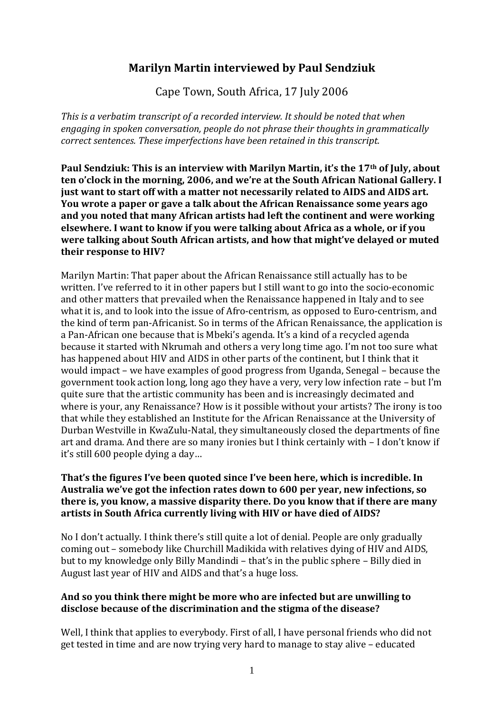# **Marilyn Martin interviewed by Paul Sendziuk**

Cape Town, South Africa, 17 July 2006

*This is a verbatim transcript of a recorded interview. It should be noted that when engaging in spoken conversation, people do not phrase their thoughts in grammatically correct sentences. These imperfections have been retained in this transcript.* 

**Paul Sendziuk: This is an interview with Marilyn Martin, it's the 17th of July, about ten o'clock in the morning, 2006, and we're at the South African National Gallery. I just want to start off with a matter not necessarily related to AIDS and AIDS art. You wrote a paper or gave a talk about the African Renaissance some years ago and you noted that many African artists had left the continent and were working elsewhere. I want to know if you were talking about Africa as a whole, or if you were talking about South African artists, and how that might've delayed or muted their response to HIV?**

Marilyn Martin: That paper about the African Renaissance still actually has to be written. I've referred to it in other papers but I still want to go into the socio-economic and other matters that prevailed when the Renaissance happened in Italy and to see what it is, and to look into the issue of Afro-centrism, as opposed to Euro-centrism, and the kind of term pan-Africanist. So in terms of the African Renaissance, the application is a Pan-African one because that is Mbeki's agenda. It's a kind of a recycled agenda because it started with Nkrumah and others a very long time ago. I'm not too sure what has happened about HIV and AIDS in other parts of the continent, but I think that it would impact – we have examples of good progress from Uganda, Senegal – because the government took action long, long ago they have a very, very low infection rate – but I'm quite sure that the artistic community has been and is increasingly decimated and where is your, any Renaissance? How is it possible without your artists? The irony is too that while they established an Institute for the African Renaissance at the University of Durban Westville in KwaZulu-Natal, they simultaneously closed the departments of fine art and drama. And there are so many ironies but I think certainly with – I don't know if it's still 600 people dying a day…

#### **That's the figures I've been quoted since I've been here, which is incredible. In Australia we've got the infection rates down to 600 per year, new infections, so there is, you know, a massive disparity there. Do you know that if there are many artists in South Africa currently living with HIV or have died of AIDS?**

No I don't actually. I think there's still quite a lot of denial. People are only gradually coming out – somebody like Churchill Madikida with relatives dying of HIV and AIDS, but to my knowledge only Billy Mandindi – that's in the public sphere – Billy died in August last year of HIV and AIDS and that's a huge loss.

#### **And so you think there might be more who are infected but are unwilling to disclose because of the discrimination and the stigma of the disease?**

Well, I think that applies to everybody. First of all, I have personal friends who did not get tested in time and are now trying very hard to manage to stay alive – educated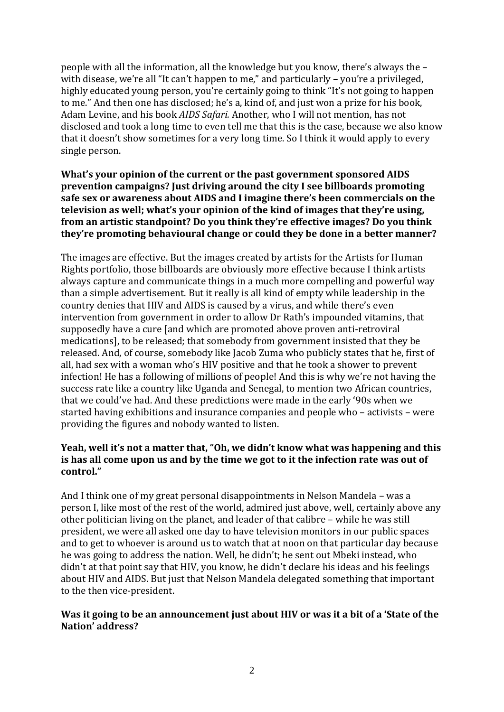people with all the information, all the knowledge but you know, there's always the – with disease, we're all "It can't happen to me," and particularly – you're a privileged, highly educated young person, you're certainly going to think "It's not going to happen to me." And then one has disclosed; he's a, kind of, and just won a prize for his book, Adam Levine, and his book *AIDS Safari.* Another, who I will not mention, has not disclosed and took a long time to even tell me that this is the case, because we also know that it doesn't show sometimes for a very long time. So I think it would apply to every single person.

## **What's your opinion of the current or the past government sponsored AIDS prevention campaigns? Just driving around the city I see billboards promoting safe sex or awareness about AIDS and I imagine there's been commercials on the television as well; what's your opinion of the kind of images that they're using, from an artistic standpoint? Do you think they're effective images? Do you think they're promoting behavioural change or could they be done in a better manner?**

The images are effective. But the images created by artists for the Artists for Human Rights portfolio, those billboards are obviously more effective because I think artists always capture and communicate things in a much more compelling and powerful way than a simple advertisement. But it really is all kind of empty while leadership in the country denies that HIV and AIDS is caused by a virus, and while there's even intervention from government in order to allow Dr Rath's impounded vitamins, that supposedly have a cure [and which are promoted above proven anti-retroviral medications], to be released; that somebody from government insisted that they be released. And, of course, somebody like Jacob Zuma who publicly states that he, first of all, had sex with a woman who's HIV positive and that he took a shower to prevent infection! He has a following of millions of people! And this is why we're not having the success rate like a country like Uganda and Senegal, to mention two African countries, that we could've had. And these predictions were made in the early '90s when we started having exhibitions and insurance companies and people who – activists – were providing the figures and nobody wanted to listen.

#### **Yeah, well it's not a matter that, "Oh, we didn't know what was happening and this is has all come upon us and by the time we got to it the infection rate was out of control."**

And I think one of my great personal disappointments in Nelson Mandela – was a person I, like most of the rest of the world, admired just above, well, certainly above any other politician living on the planet, and leader of that calibre – while he was still president, we were all asked one day to have television monitors in our public spaces and to get to whoever is around us to watch that at noon on that particular day because he was going to address the nation. Well, he didn't; he sent out Mbeki instead, who didn't at that point say that HIV, you know, he didn't declare his ideas and his feelings about HIV and AIDS. But just that Nelson Mandela delegated something that important to the then vice-president.

#### **Was it going to be an announcement just about HIV or was it a bit of a 'State of the Nation' address?**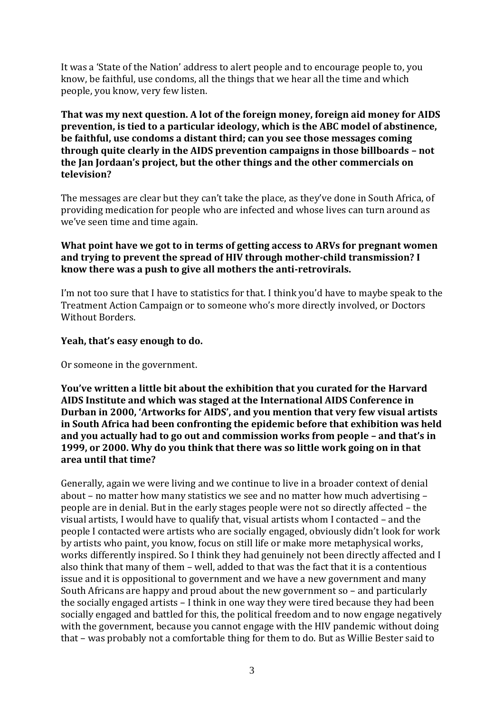It was a 'State of the Nation' address to alert people and to encourage people to, you know, be faithful, use condoms, all the things that we hear all the time and which people, you know, very few listen.

**That was my next question. A lot of the foreign money, foreign aid money for AIDS prevention, is tied to a particular ideology, which is the ABC model of abstinence, be faithful, use condoms a distant third; can you see those messages coming through quite clearly in the AIDS prevention campaigns in those billboards – not the Jan Jordaan's project, but the other things and the other commercials on television?**

The messages are clear but they can't take the place, as they've done in South Africa, of providing medication for people who are infected and whose lives can turn around as we've seen time and time again.

#### **What point have we got to in terms of getting access to ARVs for pregnant women and trying to prevent the spread of HIV through mother-child transmission? I know there was a push to give all mothers the anti-retrovirals.**

I'm not too sure that I have to statistics for that. I think you'd have to maybe speak to the Treatment Action Campaign or to someone who's more directly involved, or Doctors Without Borders.

#### **Yeah, that's easy enough to do.**

Or someone in the government.

**You've written a little bit about the exhibition that you curated for the Harvard AIDS Institute and which was staged at the International AIDS Conference in Durban in 2000, 'Artworks for AIDS', and you mention that very few visual artists in South Africa had been confronting the epidemic before that exhibition was held and you actually had to go out and commission works from people – and that's in 1999, or 2000. Why do you think that there was so little work going on in that area until that time?**

Generally, again we were living and we continue to live in a broader context of denial about – no matter how many statistics we see and no matter how much advertising – people are in denial. But in the early stages people were not so directly affected – the visual artists, I would have to qualify that, visual artists whom I contacted – and the people I contacted were artists who are socially engaged, obviously didn't look for work by artists who paint, you know, focus on still life or make more metaphysical works, works differently inspired. So I think they had genuinely not been directly affected and I also think that many of them – well, added to that was the fact that it is a contentious issue and it is oppositional to government and we have a new government and many South Africans are happy and proud about the new government so – and particularly the socially engaged artists – I think in one way they were tired because they had been socially engaged and battled for this, the political freedom and to now engage negatively with the government, because you cannot engage with the HIV pandemic without doing that – was probably not a comfortable thing for them to do. But as Willie Bester said to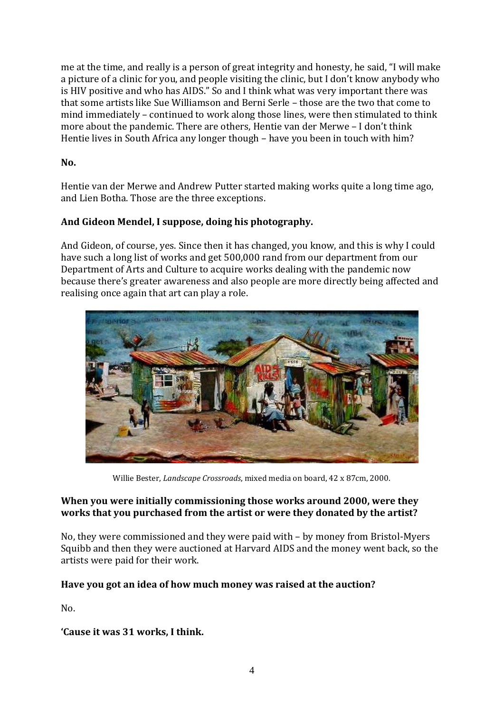me at the time, and really is a person of great integrity and honesty, he said, "I will make a picture of a clinic for you, and people visiting the clinic, but I don't know anybody who is HIV positive and who has AIDS." So and I think what was very important there was that some artists like Sue Williamson and Berni Serle – those are the two that come to mind immediately – continued to work along those lines, were then stimulated to think more about the pandemic. There are others, Hentie van der Merwe – I don't think Hentie lives in South Africa any longer though – have you been in touch with him?

## **No.**

Hentie van der Merwe and Andrew Putter started making works quite a long time ago, and Lien Botha. Those are the three exceptions.

## **And Gideon Mendel, I suppose, doing his photography.**

And Gideon, of course, yes. Since then it has changed, you know, and this is why I could have such a long list of works and get 500,000 rand from our department from our Department of Arts and Culture to acquire works dealing with the pandemic now because there's greater awareness and also people are more directly being affected and realising once again that art can play a role.



Willie Bester, *Landscape Crossroads*, mixed media on board, 42 x 87cm, 2000.

## **When you were initially commissioning those works around 2000, were they works that you purchased from the artist or were they donated by the artist?**

No, they were commissioned and they were paid with – by money from Bristol-Myers Squibb and then they were auctioned at Harvard AIDS and the money went back, so the artists were paid for their work.

## **Have you got an idea of how much money was raised at the auction?**

 $N<sub>0</sub>$ 

**'Cause it was 31 works, I think.**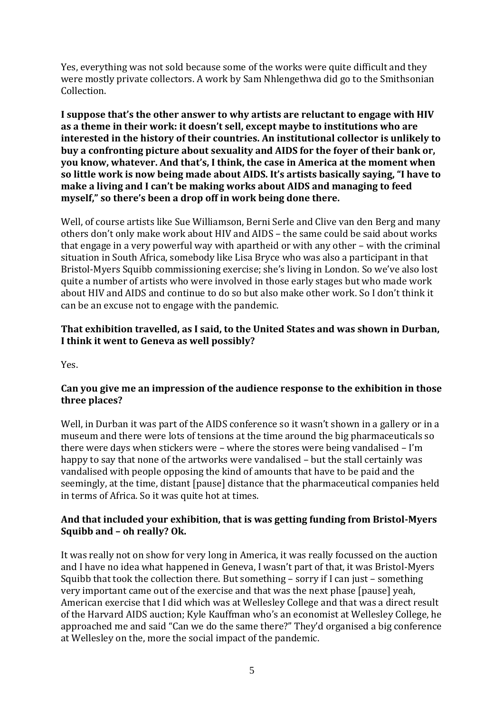Yes, everything was not sold because some of the works were quite difficult and they were mostly private collectors. A work by Sam Nhlengethwa did go to the Smithsonian Collection.

**I suppose that's the other answer to why artists are reluctant to engage with HIV as a theme in their work: it doesn't sell, except maybe to institutions who are interested in the history of their countries. An institutional collector is unlikely to buy a confronting picture about sexuality and AIDS for the foyer of their bank or, you know, whatever. And that's, I think, the case in America at the moment when so little work is now being made about AIDS. It's artists basically saying, "I have to make a living and I can't be making works about AIDS and managing to feed myself," so there's been a drop off in work being done there.**

Well, of course artists like Sue Williamson, Berni Serle and Clive van den Berg and many others don't only make work about HIV and AIDS – the same could be said about works that engage in a very powerful way with apartheid or with any other – with the criminal situation in South Africa, somebody like Lisa Bryce who was also a participant in that Bristol-Myers Squibb commissioning exercise; she's living in London. So we've also lost quite a number of artists who were involved in those early stages but who made work about HIV and AIDS and continue to do so but also make other work. So I don't think it can be an excuse not to engage with the pandemic.

## **That exhibition travelled, as I said, to the United States and was shown in Durban, I think it went to Geneva as well possibly?**

Yes.

## **Can you give me an impression of the audience response to the exhibition in those three places?**

Well, in Durban it was part of the AIDS conference so it wasn't shown in a gallery or in a museum and there were lots of tensions at the time around the big pharmaceuticals so there were days when stickers were – where the stores were being vandalised – I'm happy to say that none of the artworks were vandalised – but the stall certainly was vandalised with people opposing the kind of amounts that have to be paid and the seemingly, at the time, distant [pause] distance that the pharmaceutical companies held in terms of Africa. So it was quite hot at times.

## **And that included your exhibition, that is was getting funding from Bristol-Myers Squibb and – oh really? Ok.**

It was really not on show for very long in America, it was really focussed on the auction and I have no idea what happened in Geneva, I wasn't part of that, it was Bristol-Myers Squibb that took the collection there. But something – sorry if I can just – something very important came out of the exercise and that was the next phase [pause] yeah, American exercise that I did which was at Wellesley College and that was a direct result of the Harvard AIDS auction; Kyle Kauffman who's an economist at Wellesley College, he approached me and said "Can we do the same there?" They'd organised a big conference at Wellesley on the, more the social impact of the pandemic.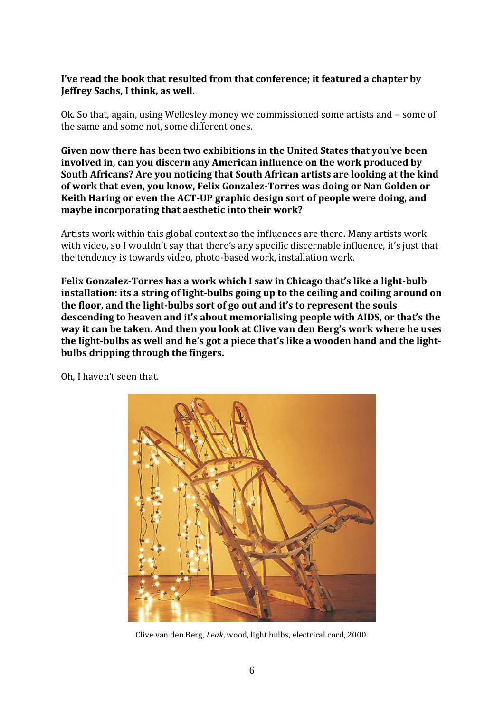### **I've read the book that resulted from that conference; it featured a chapter by Jeffrey Sachs, I think, as well.**

Ok. So that, again, using Wellesley money we commissioned some artists and – some of the same and some not, some different ones.

**Given now there has been two exhibitions in the United States that you've been involved in, can you discern any American influence on the work produced by South Africans? Are you noticing that South African artists are looking at the kind of work that even, you know, Felix Gonzalez-Torres was doing or Nan Golden or Keith Haring or even the ACT-UP graphic design sort of people were doing, and maybe incorporating that aesthetic into their work?**

Artists work within this global context so the influences are there. Many artists work with video, so I wouldn't say that there's any specific discernable influence, it's just that the tendency is towards video, photo-based work, installation work.

**Felix Gonzalez-Torres has a work which I saw in Chicago that's like a light-bulb installation: its a string of light-bulbs going up to the ceiling and coiling around on the floor, and the light-bulbs sort of go out and it's to represent the souls descending to heaven and it's about memorialising people with AIDS, or that's the way it can be taken. And then you look at Clive van den Berg's work where he uses the light-bulbs as well and he's got a piece that's like a wooden hand and the lightbulbs dripping through the fingers.**



Oh, I haven't seen that.

Clive van den Berg, *Leak*, wood, light bulbs, electrical cord, 2000.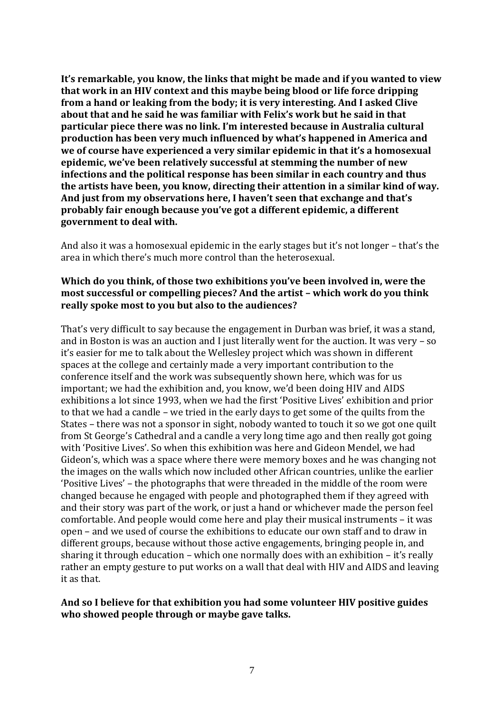**It's remarkable, you know, the links that might be made and if you wanted to view that work in an HIV context and this maybe being blood or life force dripping from a hand or leaking from the body; it is very interesting. And I asked Clive about that and he said he was familiar with Felix's work but he said in that particular piece there was no link. I'm interested because in Australia cultural production has been very much influenced by what's happened in America and we of course have experienced a very similar epidemic in that it's a homosexual epidemic, we've been relatively successful at stemming the number of new infections and the political response has been similar in each country and thus the artists have been, you know, directing their attention in a similar kind of way. And just from my observations here, I haven't seen that exchange and that's probably fair enough because you've got a different epidemic, a different government to deal with.**

And also it was a homosexual epidemic in the early stages but it's not longer – that's the area in which there's much more control than the heterosexual.

#### **Which do you think, of those two exhibitions you've been involved in, were the most successful or compelling pieces? And the artist – which work do you think really spoke most to you but also to the audiences?**

That's very difficult to say because the engagement in Durban was brief, it was a stand, and in Boston is was an auction and I just literally went for the auction. It was very – so it's easier for me to talk about the Wellesley project which was shown in different spaces at the college and certainly made a very important contribution to the conference itself and the work was subsequently shown here, which was for us important; we had the exhibition and, you know, we'd been doing HIV and AIDS exhibitions a lot since 1993, when we had the first 'Positive Lives' exhibition and prior to that we had a candle – we tried in the early days to get some of the quilts from the States – there was not a sponsor in sight, nobody wanted to touch it so we got one quilt from St George's Cathedral and a candle a very long time ago and then really got going with 'Positive Lives'. So when this exhibition was here and Gideon Mendel, we had Gideon's, which was a space where there were memory boxes and he was changing not the images on the walls which now included other African countries, unlike the earlier 'Positive Lives' – the photographs that were threaded in the middle of the room were changed because he engaged with people and photographed them if they agreed with and their story was part of the work, or just a hand or whichever made the person feel comfortable. And people would come here and play their musical instruments – it was open – and we used of course the exhibitions to educate our own staff and to draw in different groups, because without those active engagements, bringing people in, and sharing it through education – which one normally does with an exhibition – it's really rather an empty gesture to put works on a wall that deal with HIV and AIDS and leaving it as that.

#### **And so I believe for that exhibition you had some volunteer HIV positive guides who showed people through or maybe gave talks.**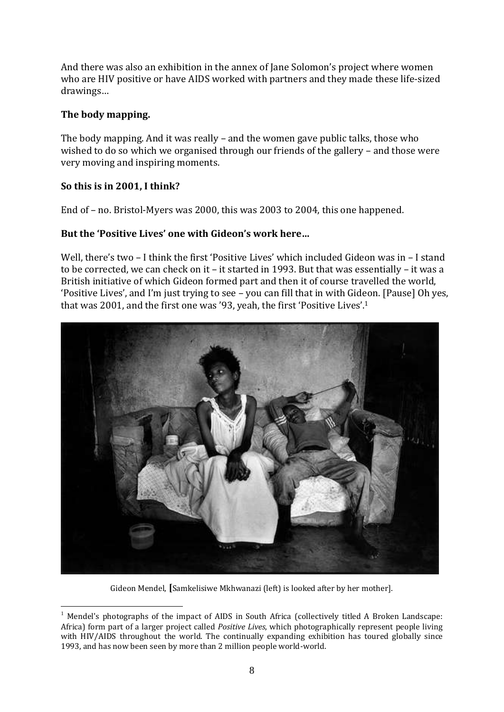And there was also an exhibition in the annex of Jane Solomon's project where women who are HIV positive or have AIDS worked with partners and they made these life-sized drawings…

#### **The body mapping.**

<u>.</u>

The body mapping. And it was really – and the women gave public talks, those who wished to do so which we organised through our friends of the gallery – and those were very moving and inspiring moments.

#### **So this is in 2001, I think?**

End of – no. Bristol-Myers was 2000, this was 2003 to 2004, this one happened.

#### **But the 'Positive Lives' one with Gideon's work here…**

Well, there's two – I think the first 'Positive Lives' which included Gideon was in – I stand to be corrected, we can check on it – it started in 1993. But that was essentially – it was a British initiative of which Gideon formed part and then it of course travelled the world, 'Positive Lives', and I'm just trying to see – you can fill that in with Gideon. [Pause] Oh yes, that was 2001, and the first one was '93, yeah, the first 'Positive Lives'.<sup>1</sup>



Gideon Mendel, **[**Samkelisiwe Mkhwanazi (left) is looked after by her mother].

 $<sup>1</sup>$  Mendel's photographs of the impact of AIDS in South Africa (collectively titled A Broken Landscape:</sup> Africa) form part of a larger project called *Positive Lives*, which photographically represent people living with HIV/AIDS throughout the world. The continually expanding exhibition has toured globally since 1993, and has now been seen by more than 2 million people world-world.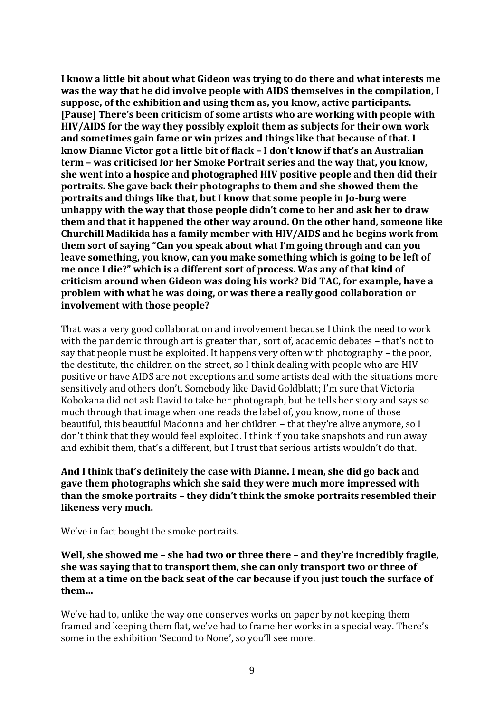**I know a little bit about what Gideon was trying to do there and what interests me was the way that he did involve people with AIDS themselves in the compilation, I suppose, of the exhibition and using them as, you know, active participants. [Pause] There's been criticism of some artists who are working with people with HIV/AIDS for the way they possibly exploit them as subjects for their own work and sometimes gain fame or win prizes and things like that because of that. I know Dianne Victor got a little bit of flack – I don't know if that's an Australian term – was criticised for her Smoke Portrait series and the way that, you know, she went into a hospice and photographed HIV positive people and then did their portraits. She gave back their photographs to them and she showed them the portraits and things like that, but I know that some people in Jo-burg were unhappy with the way that those people didn't come to her and ask her to draw them and that it happened the other way around. On the other hand, someone like Churchill Madikida has a family member with HIV/AIDS and he begins work from them sort of saying "Can you speak about what I'm going through and can you leave something, you know, can you make something which is going to be left of me once I die?" which is a different sort of process. Was any of that kind of criticism around when Gideon was doing his work? Did TAC, for example, have a problem with what he was doing, or was there a really good collaboration or involvement with those people?**

That was a very good collaboration and involvement because I think the need to work with the pandemic through art is greater than, sort of, academic debates – that's not to say that people must be exploited. It happens very often with photography – the poor, the destitute, the children on the street, so I think dealing with people who are HIV positive or have AIDS are not exceptions and some artists deal with the situations more sensitively and others don't. Somebody like David Goldblatt; I'm sure that Victoria Kobokana did not ask David to take her photograph, but he tells her story and says so much through that image when one reads the label of, you know, none of those beautiful, this beautiful Madonna and her children – that they're alive anymore, so I don't think that they would feel exploited. I think if you take snapshots and run away and exhibit them, that's a different, but I trust that serious artists wouldn't do that.

**And I think that's definitely the case with Dianne. I mean, she did go back and gave them photographs which she said they were much more impressed with than the smoke portraits – they didn't think the smoke portraits resembled their likeness very much.**

We've in fact bought the smoke portraits.

**Well, she showed me – she had two or three there – and they're incredibly fragile, she was saying that to transport them, she can only transport two or three of them at a time on the back seat of the car because if you just touch the surface of them…**

We've had to, unlike the way one conserves works on paper by not keeping them framed and keeping them flat, we've had to frame her works in a special way. There's some in the exhibition 'Second to None', so you'll see more.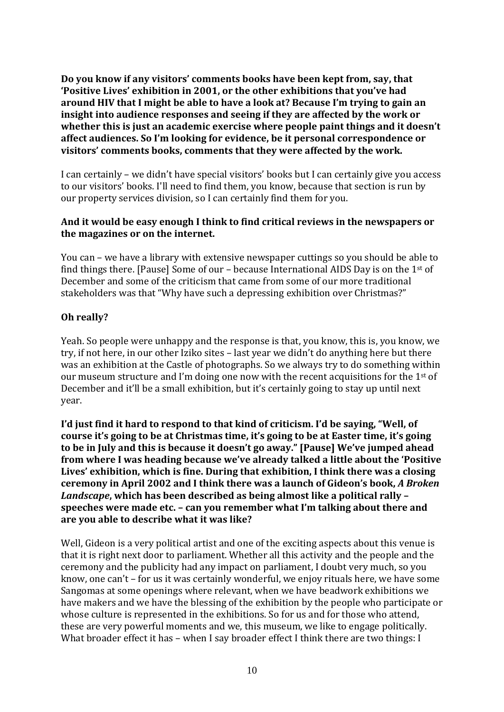**Do you know if any visitors' comments books have been kept from, say, that 'Positive Lives' exhibition in 2001, or the other exhibitions that you've had around HIV that I might be able to have a look at? Because I'm trying to gain an insight into audience responses and seeing if they are affected by the work or whether this is just an academic exercise where people paint things and it doesn't affect audiences. So I'm looking for evidence, be it personal correspondence or visitors' comments books, comments that they were affected by the work.**

I can certainly – we didn't have special visitors' books but I can certainly give you access to our visitors' books. I'll need to find them, you know, because that section is run by our property services division, so I can certainly find them for you.

### **And it would be easy enough I think to find critical reviews in the newspapers or the magazines or on the internet.**

You can – we have a library with extensive newspaper cuttings so you should be able to find things there. [Pause] Some of our – because International AIDS Day is on the 1st of December and some of the criticism that came from some of our more traditional stakeholders was that "Why have such a depressing exhibition over Christmas?"

## **Oh really?**

Yeah. So people were unhappy and the response is that, you know, this is, you know, we try, if not here, in our other Iziko sites – last year we didn't do anything here but there was an exhibition at the Castle of photographs. So we always try to do something within our museum structure and I'm doing one now with the recent acquisitions for the 1st of December and it'll be a small exhibition, but it's certainly going to stay up until next year.

**I'd just find it hard to respond to that kind of criticism. I'd be saying, "Well, of course it's going to be at Christmas time, it's going to be at Easter time, it's going to be in July and this is because it doesn't go away." [Pause] We've jumped ahead from where I was heading because we've already talked a little about the 'Positive Lives' exhibition, which is fine. During that exhibition, I think there was a closing ceremony in April 2002 and I think there was a launch of Gideon's book,** *A Broken Landscape***, which has been described as being almost like a political rally – speeches were made etc. – can you remember what I'm talking about there and are you able to describe what it was like?**

Well, Gideon is a very political artist and one of the exciting aspects about this venue is that it is right next door to parliament. Whether all this activity and the people and the ceremony and the publicity had any impact on parliament, I doubt very much, so you know, one can't – for us it was certainly wonderful, we enjoy rituals here, we have some Sangomas at some openings where relevant, when we have beadwork exhibitions we have makers and we have the blessing of the exhibition by the people who participate or whose culture is represented in the exhibitions. So for us and for those who attend, these are very powerful moments and we, this museum, we like to engage politically. What broader effect it has – when I say broader effect I think there are two things: I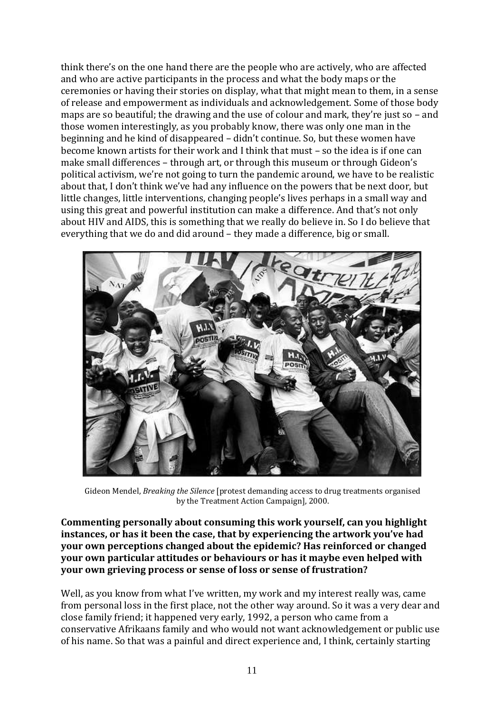think there's on the one hand there are the people who are actively, who are affected and who are active participants in the process and what the body maps or the ceremonies or having their stories on display, what that might mean to them, in a sense of release and empowerment as individuals and acknowledgement. Some of those body maps are so beautiful; the drawing and the use of colour and mark, they're just so – and those women interestingly, as you probably know, there was only one man in the beginning and he kind of disappeared – didn't continue. So, but these women have become known artists for their work and I think that must – so the idea is if one can make small differences – through art, or through this museum or through Gideon's political activism, we're not going to turn the pandemic around, we have to be realistic about that, I don't think we've had any influence on the powers that be next door, but little changes, little interventions, changing people's lives perhaps in a small way and using this great and powerful institution can make a difference. And that's not only about HIV and AIDS, this is something that we really do believe in. So I do believe that everything that we do and did around – they made a difference, big or small.



Gideon Mendel, *Breaking the Silence* [protest demanding access to drug treatments organised by the Treatment Action Campaign], 2000.

**Commenting personally about consuming this work yourself, can you highlight instances, or has it been the case, that by experiencing the artwork you've had your own perceptions changed about the epidemic? Has reinforced or changed your own particular attitudes or behaviours or has it maybe even helped with your own grieving process or sense of loss or sense of frustration?**

Well, as you know from what I've written, my work and my interest really was, came from personal loss in the first place, not the other way around. So it was a very dear and close family friend; it happened very early, 1992, a person who came from a conservative Afrikaans family and who would not want acknowledgement or public use of his name. So that was a painful and direct experience and, I think, certainly starting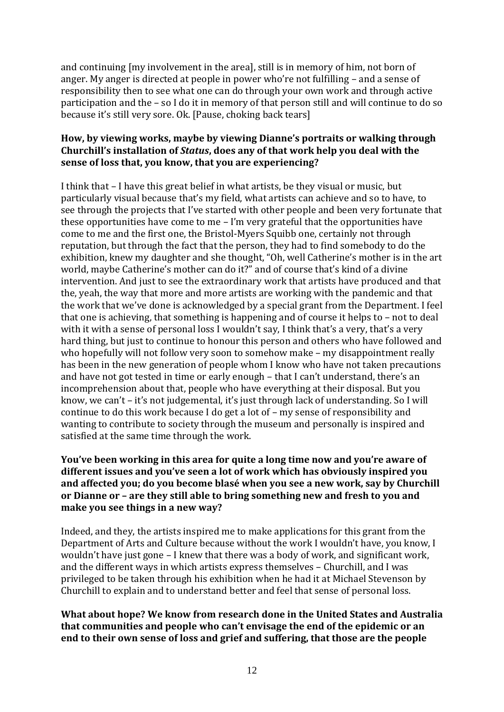and continuing [my involvement in the area], still is in memory of him, not born of anger. My anger is directed at people in power who're not fulfilling – and a sense of responsibility then to see what one can do through your own work and through active participation and the – so I do it in memory of that person still and will continue to do so because it's still very sore. Ok. [Pause, choking back tears]

#### **How, by viewing works, maybe by viewing Dianne's portraits or walking through Churchill's installation of** *Status***, does any of that work help you deal with the sense of loss that, you know, that you are experiencing?**

I think that – I have this great belief in what artists, be they visual or music, but particularly visual because that's my field, what artists can achieve and so to have, to see through the projects that I've started with other people and been very fortunate that these opportunities have come to me – I'm very grateful that the opportunities have come to me and the first one, the Bristol-Myers Squibb one, certainly not through reputation, but through the fact that the person, they had to find somebody to do the exhibition, knew my daughter and she thought, "Oh, well Catherine's mother is in the art world, maybe Catherine's mother can do it?" and of course that's kind of a divine intervention. And just to see the extraordinary work that artists have produced and that the, yeah, the way that more and more artists are working with the pandemic and that the work that we've done is acknowledged by a special grant from the Department. I feel that one is achieving, that something is happening and of course it helps to – not to deal with it with a sense of personal loss I wouldn't say, I think that's a very, that's a very hard thing, but just to continue to honour this person and others who have followed and who hopefully will not follow very soon to somehow make – my disappointment really has been in the new generation of people whom I know who have not taken precautions and have not got tested in time or early enough – that I can't understand, there's an incomprehension about that, people who have everything at their disposal. But you know, we can't – it's not judgemental, it's just through lack of understanding. So I will continue to do this work because I do get a lot of – my sense of responsibility and wanting to contribute to society through the museum and personally is inspired and satisfied at the same time through the work.

## **You've been working in this area for quite a long time now and you're aware of different issues and you've seen a lot of work which has obviously inspired you and affected you; do you become blasé when you see a new work, say by Churchill or Dianne or – are they still able to bring something new and fresh to you and make you see things in a new way?**

Indeed, and they, the artists inspired me to make applications for this grant from the Department of Arts and Culture because without the work I wouldn't have, you know, I wouldn't have just gone – I knew that there was a body of work, and significant work, and the different ways in which artists express themselves – Churchill, and I was privileged to be taken through his exhibition when he had it at Michael Stevenson by Churchill to explain and to understand better and feel that sense of personal loss.

**What about hope? We know from research done in the United States and Australia that communities and people who can't envisage the end of the epidemic or an end to their own sense of loss and grief and suffering, that those are the people**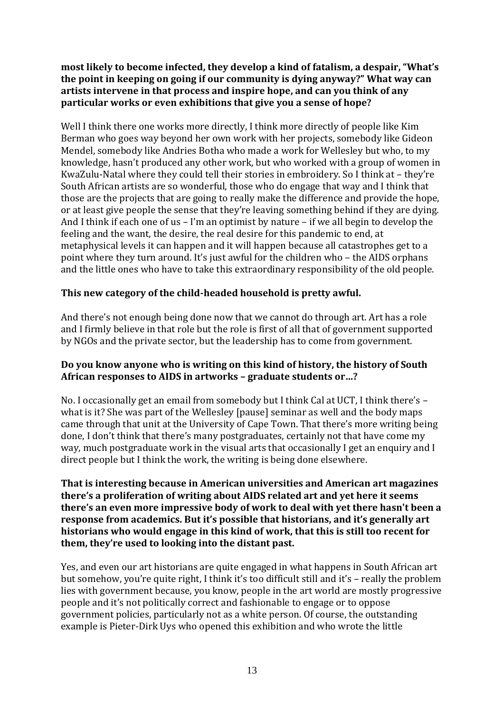## **most likely to become infected, they develop a kind of fatalism, a despair, "What's the point in keeping on going if our community is dying anyway?" What way can artists intervene in that process and inspire hope, and can you think of any particular works or even exhibitions that give you a sense of hope?**

Well I think there one works more directly, I think more directly of people like Kim Berman who goes way beyond her own work with her projects, somebody like Gideon Mendel, somebody like Andries Botha who made a work for Wellesley but who, to my knowledge, hasn't produced any other work, but who worked with a group of women in KwaZulu-Natal where they could tell their stories in embroidery. So I think at – they're South African artists are so wonderful, those who do engage that way and I think that those are the projects that are going to really make the difference and provide the hope, or at least give people the sense that they're leaving something behind if they are dying. And I think if each one of us – I'm an optimist by nature – if we all begin to develop the feeling and the want, the desire, the real desire for this pandemic to end, at metaphysical levels it can happen and it will happen because all catastrophes get to a point where they turn around. It's just awful for the children who – the AIDS orphans and the little ones who have to take this extraordinary responsibility of the old people.

#### **This new category of the child-headed household is pretty awful.**

And there's not enough being done now that we cannot do through art. Art has a role and I firmly believe in that role but the role is first of all that of government supported by NGOs and the private sector, but the leadership has to come from government.

## **Do you know anyone who is writing on this kind of history, the history of South African responses to AIDS in artworks – graduate students or…?**

No. I occasionally get an email from somebody but I think Cal at UCT, I think there's – what is it? She was part of the Wellesley [pause] seminar as well and the body maps came through that unit at the University of Cape Town. That there's more writing being done, I don't think that there's many postgraduates, certainly not that have come my way, much postgraduate work in the visual arts that occasionally I get an enquiry and I direct people but I think the work, the writing is being done elsewhere.

**That is interesting because in American universities and American art magazines there's a proliferation of writing about AIDS related art and yet here it seems there's an even more impressive body of work to deal with yet there hasn't been a response from academics. But it's possible that historians, and it's generally art historians who would engage in this kind of work, that this is still too recent for them, they're used to looking into the distant past.**

Yes, and even our art historians are quite engaged in what happens in South African art but somehow, you're quite right, I think it's too difficult still and it's – really the problem lies with government because, you know, people in the art world are mostly progressive people and it's not politically correct and fashionable to engage or to oppose government policies, particularly not as a white person. Of course, the outstanding example is Pieter-Dirk Uys who opened this exhibition and who wrote the little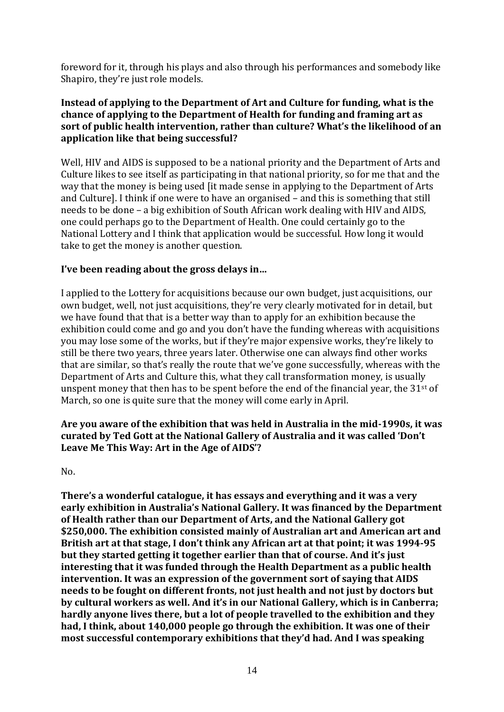foreword for it, through his plays and also through his performances and somebody like Shapiro, they're just role models.

### **Instead of applying to the Department of Art and Culture for funding, what is the chance of applying to the Department of Health for funding and framing art as sort of public health intervention, rather than culture? What's the likelihood of an application like that being successful?**

Well, HIV and AIDS is supposed to be a national priority and the Department of Arts and Culture likes to see itself as participating in that national priority, so for me that and the way that the money is being used [it made sense in applying to the Department of Arts and Culture]. I think if one were to have an organised – and this is something that still needs to be done – a big exhibition of South African work dealing with HIV and AIDS, one could perhaps go to the Department of Health. One could certainly go to the National Lottery and I think that application would be successful. How long it would take to get the money is another question.

## **I've been reading about the gross delays in…**

I applied to the Lottery for acquisitions because our own budget, just acquisitions, our own budget, well, not just acquisitions, they're very clearly motivated for in detail, but we have found that that is a better way than to apply for an exhibition because the exhibition could come and go and you don't have the funding whereas with acquisitions you may lose some of the works, but if they're major expensive works, they're likely to still be there two years, three years later. Otherwise one can always find other works that are similar, so that's really the route that we've gone successfully, whereas with the Department of Arts and Culture this, what they call transformation money, is usually unspent money that then has to be spent before the end of the financial year, the 31st of March, so one is quite sure that the money will come early in April.

## **Are you aware of the exhibition that was held in Australia in the mid-1990s, it was curated by Ted Gott at the National Gallery of Australia and it was called 'Don't Leave Me This Way: Art in the Age of AIDS'?**

 $N<sub>0</sub>$ 

**There's a wonderful catalogue, it has essays and everything and it was a very early exhibition in Australia's National Gallery. It was financed by the Department of Health rather than our Department of Arts, and the National Gallery got \$250,000. The exhibition consisted mainly of Australian art and American art and British art at that stage, I don't think any African art at that point; it was 1994-95 but they started getting it together earlier than that of course. And it's just interesting that it was funded through the Health Department as a public health intervention. It was an expression of the government sort of saying that AIDS needs to be fought on different fronts, not just health and not just by doctors but by cultural workers as well. And it's in our National Gallery, which is in Canberra; hardly anyone lives there, but a lot of people travelled to the exhibition and they had, I think, about 140,000 people go through the exhibition. It was one of their most successful contemporary exhibitions that they'd had. And I was speaking**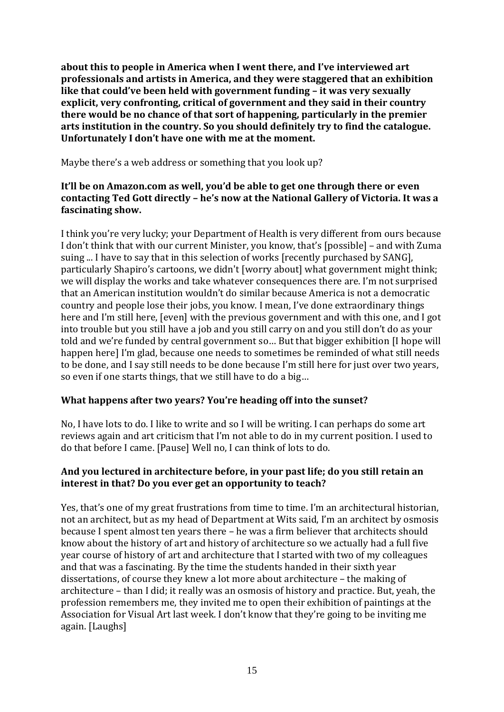**about this to people in America when I went there, and I've interviewed art professionals and artists in America, and they were staggered that an exhibition like that could've been held with government funding – it was very sexually explicit, very confronting, critical of government and they said in their country there would be no chance of that sort of happening, particularly in the premier arts institution in the country. So you should definitely try to find the catalogue. Unfortunately I don't have one with me at the moment.**

Maybe there's a web address or something that you look up?

## **It'll be on Amazon.com as well, you'd be able to get one through there or even contacting Ted Gott directly – he's now at the National Gallery of Victoria. It was a fascinating show.**

I think you're very lucky; your Department of Health is very different from ours because I don't think that with our current Minister, you know, that's [possible] – and with Zuma suing ... I have to say that in this selection of works [recently purchased by SANG], particularly Shapiro's cartoons, we didn't [worry about] what government might think; we will display the works and take whatever consequences there are. I'm not surprised that an American institution wouldn't do similar because America is not a democratic country and people lose their jobs, you know. I mean, I've done extraordinary things here and I'm still here, [even] with the previous government and with this one, and I got into trouble but you still have a job and you still carry on and you still don't do as your told and we're funded by central government so… But that bigger exhibition [I hope will happen here] I'm glad, because one needs to sometimes be reminded of what still needs to be done, and I say still needs to be done because I'm still here for just over two years, so even if one starts things, that we still have to do a big…

## **What happens after two years? You're heading off into the sunset?**

No, I have lots to do. I like to write and so I will be writing. I can perhaps do some art reviews again and art criticism that I'm not able to do in my current position. I used to do that before I came. [Pause] Well no, I can think of lots to do.

## **And you lectured in architecture before, in your past life; do you still retain an interest in that? Do you ever get an opportunity to teach?**

Yes, that's one of my great frustrations from time to time. I'm an architectural historian, not an architect, but as my head of Department at Wits said, I'm an architect by osmosis because I spent almost ten years there – he was a firm believer that architects should know about the history of art and history of architecture so we actually had a full five year course of history of art and architecture that I started with two of my colleagues and that was a fascinating. By the time the students handed in their sixth year dissertations, of course they knew a lot more about architecture – the making of architecture – than I did; it really was an osmosis of history and practice. But, yeah, the profession remembers me, they invited me to open their exhibition of paintings at the Association for Visual Art last week. I don't know that they're going to be inviting me again. [Laughs]